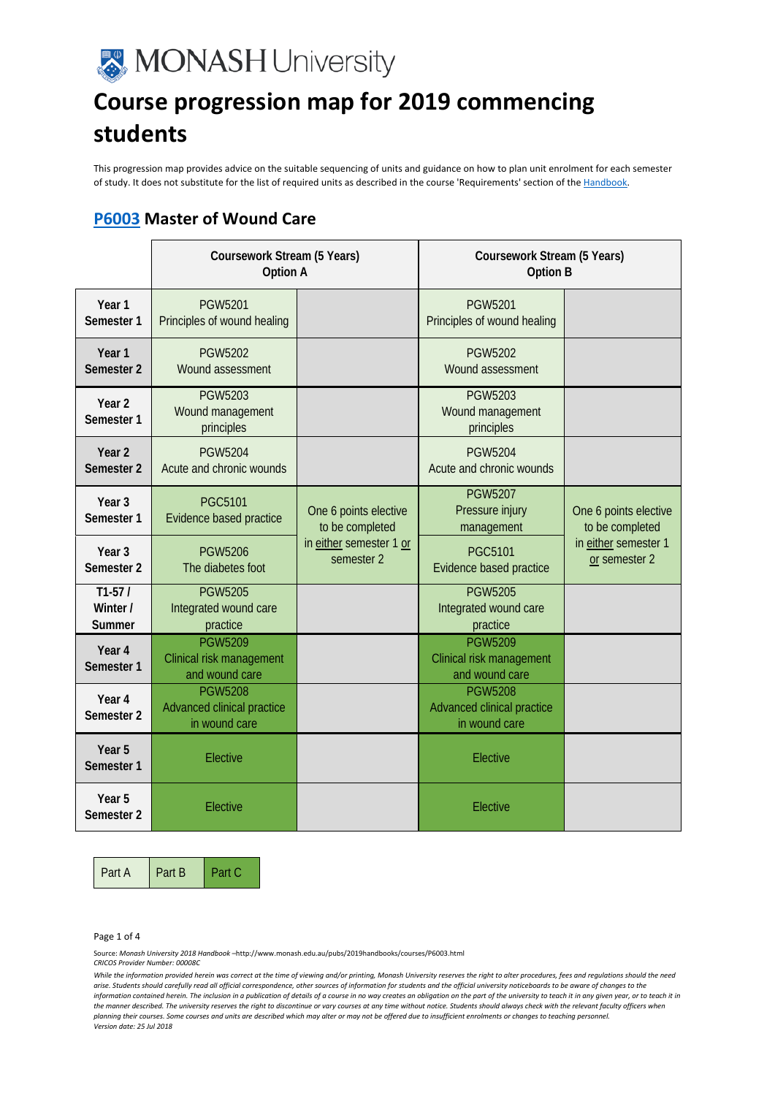# **MONASH University**

## **Course progression map for 2019 commencing students**

This progression map provides advice on the suitable sequencing of units and guidance on how to plan unit enrolment for each semester of study. It does not substitute for the list of required units as described in the course 'Requirements' section of th[e Handbook.](http://www.monash.edu.au/pubs/2019handbooks/courses/P6003.html) 

### **[P6003](http://www.monash.edu.au/pubs/2019handbooks/courses/P6003.html) Master of Wound Care**

|                                 | <b>Coursework Stream (5 Years)</b><br>Option A                |                                                                                   | Coursework Stream (5 Years)<br><b>Option B</b>                |                                                                                   |
|---------------------------------|---------------------------------------------------------------|-----------------------------------------------------------------------------------|---------------------------------------------------------------|-----------------------------------------------------------------------------------|
| Year 1<br>Semester 1            | <b>PGW5201</b><br>Principles of wound healing                 |                                                                                   | <b>PGW5201</b><br>Principles of wound healing                 |                                                                                   |
| Year 1<br>Semester 2            | <b>PGW5202</b><br>Wound assessment                            |                                                                                   | <b>PGW5202</b><br>Wound assessment                            |                                                                                   |
| Year <sub>2</sub><br>Semester 1 | <b>PGW5203</b><br>Wound management<br>principles              |                                                                                   | <b>PGW5203</b><br>Wound management<br>principles              |                                                                                   |
| Year <sub>2</sub><br>Semester 2 | <b>PGW5204</b><br>Acute and chronic wounds                    |                                                                                   | <b>PGW5204</b><br>Acute and chronic wounds                    |                                                                                   |
| Year <sub>3</sub><br>Semester 1 | <b>PGC5101</b><br>Evidence based practice                     | One 6 points elective<br>to be completed<br>in either semester 1 or<br>semester 2 | <b>PGW5207</b><br>Pressure injury<br>management               | One 6 points elective<br>to be completed<br>in either semester 1<br>or semester 2 |
| Year <sub>3</sub><br>Semester 2 | <b>PGW5206</b><br>The diabetes foot                           |                                                                                   | <b>PGC5101</b><br>Evidence based practice                     |                                                                                   |
| $T1-57/$<br>Winter /<br>Summer  | <b>PGW5205</b><br>Integrated wound care<br>practice           |                                                                                   | <b>PGW5205</b><br>Integrated wound care<br>practice           |                                                                                   |
| Year 4<br>Semester 1            | <b>PGW5209</b><br>Clinical risk management<br>and wound care  |                                                                                   | <b>PGW5209</b><br>Clinical risk management<br>and wound care  |                                                                                   |
| Year 4<br>Semester 2            | <b>PGW5208</b><br>Advanced clinical practice<br>in wound care |                                                                                   | <b>PGW5208</b><br>Advanced clinical practice<br>in wound care |                                                                                   |
| Year 5<br>Semester 1            | Elective                                                      |                                                                                   | Elective                                                      |                                                                                   |
| Year 5<br>Semester 2            | Elective                                                      |                                                                                   | Elective                                                      |                                                                                   |

Part A Part B Part C

Page 1 of 4

Source: *Monash University 2018 Handbook –*http://www.monash.edu.au/pubs/2019handbooks/courses/P6003.html

*CRICOS Provider Number: 00008C*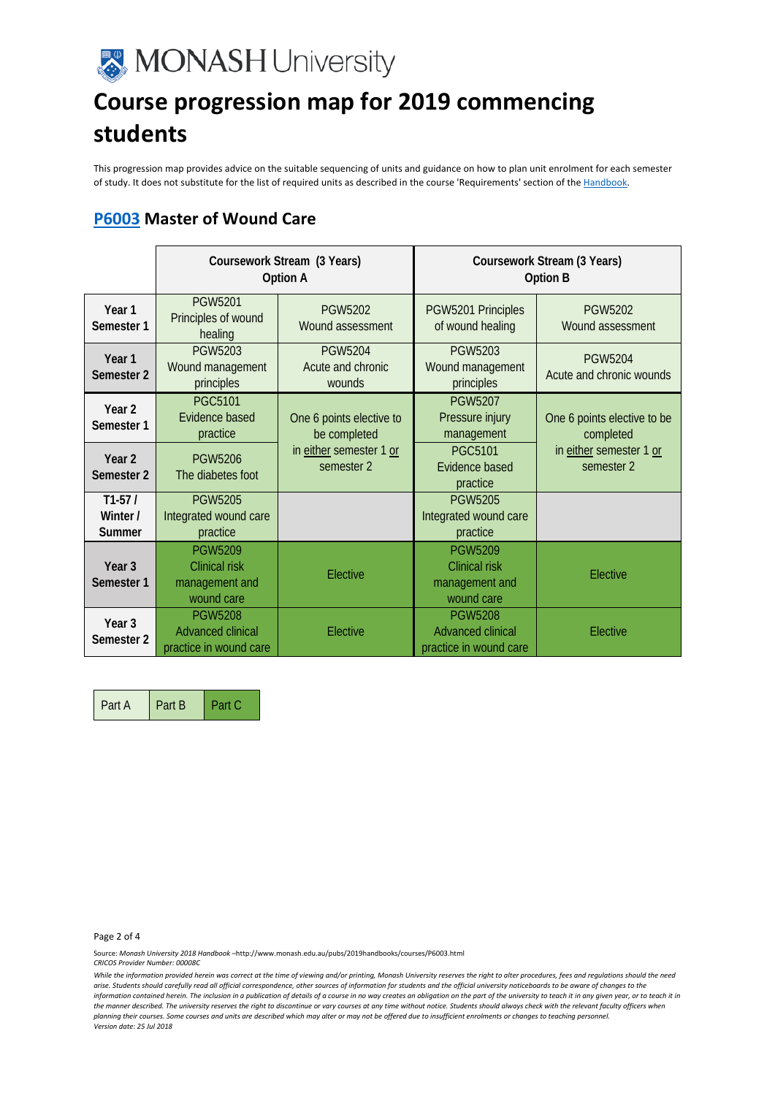

## **Course progression map for 2019 commencing students**

This progression map provides advice on the suitable sequencing of units and guidance on how to plan unit enrolment for each semester of study. It does not substitute for the list of required units as described in the course 'Requirements' section of th[e Handbook.](http://www.monash.edu.au/pubs/2019handbooks/courses/P6003.html) 

#### **[P6003](http://www.monash.edu.au/pubs/2019handbooks/courses/P6003.html) Master of Wound Care**

|                                            | Coursework Stream (3 Years)<br>Option A                                |                                               | Coursework Stream (3 Years)<br>Option B                                |                                            |
|--------------------------------------------|------------------------------------------------------------------------|-----------------------------------------------|------------------------------------------------------------------------|--------------------------------------------|
| Year 1<br>Semester 1                       | PGW5201<br>Principles of wound<br>healing                              | PGW5202<br>Wound assessment                   | PGW5201 Principles<br>of wound healing                                 | PGW5202<br>Wound assessment                |
| Year <sub>1</sub><br>Semester 2            | <b>PGW5203</b><br>Wound management<br>principles                       | <b>PGW5204</b><br>Acute and chronic<br>wounds | <b>PGW5203</b><br>Wound management<br>principles                       | <b>PGW5204</b><br>Acute and chronic wounds |
| Year 2<br>Semester 1                       | <b>PGC5101</b><br>Evidence based<br>practice                           | One 6 points elective to<br>be completed      | <b>PGW5207</b><br>Pressure injury<br>management                        | One 6 points elective to be<br>completed   |
| Year <sub>2</sub><br>Semester <sub>2</sub> | <b>PGW5206</b><br>The diabetes foot                                    | in either semester 1 or<br>semester 2         | <b>PGC5101</b><br>Evidence based<br>practice                           | in either semester 1 or<br>semester 2      |
| $T1-57/$<br>Winter /<br>Summer             | <b>PGW5205</b><br>Integrated wound care<br>practice                    |                                               | <b>PGW5205</b><br>Integrated wound care<br>practice                    |                                            |
| Year <sub>3</sub><br>Semester 1            | <b>PGW5209</b><br><b>Clinical risk</b><br>management and<br>wound care | Elective                                      | <b>PGW5209</b><br><b>Clinical risk</b><br>management and<br>wound care | Elective                                   |
| Year 3<br>Semester 2                       | <b>PGW5208</b><br><b>Advanced clinical</b><br>practice in wound care   | Elective                                      | <b>PGW5208</b><br><b>Advanced clinical</b><br>practice in wound care   | Elective                                   |

Part A Part B Part C

Page 2 of 4

Source: *Monash University 2018 Handbook –*http://www.monash.edu.au/pubs/2019handbooks/courses/P6003.html

*CRICOS Provider Number: 00008C*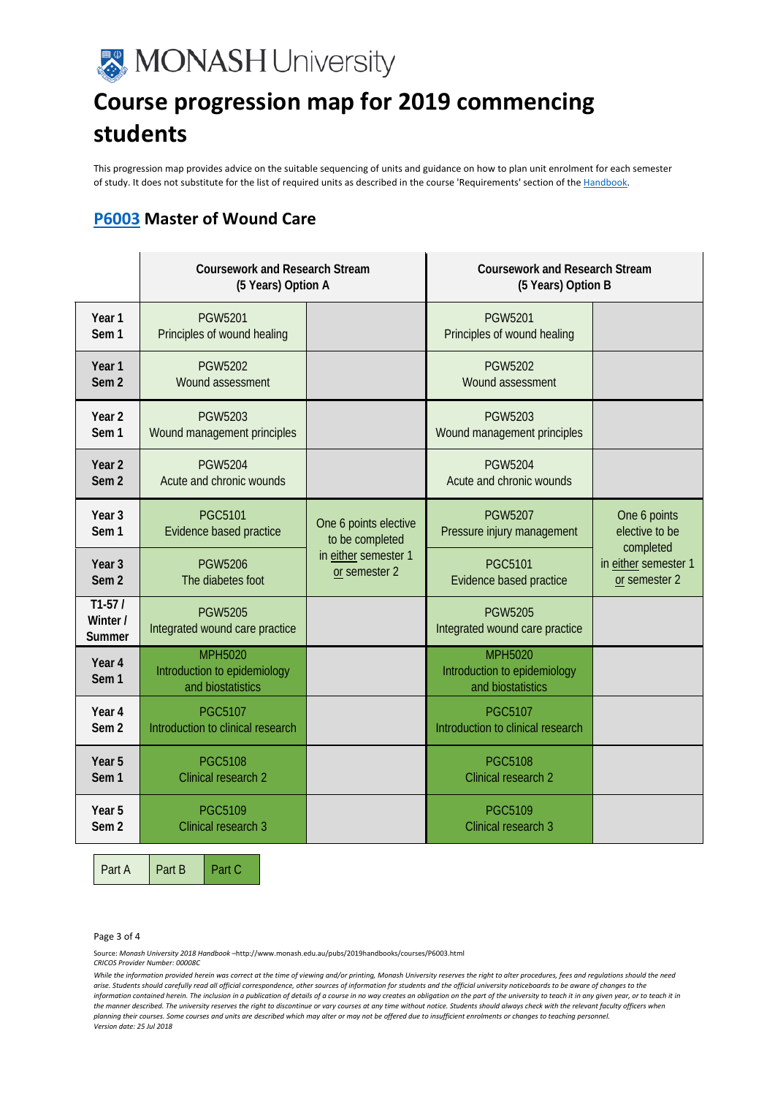# **MONASH University**

## **Course progression map for 2019 commencing students**

This progression map provides advice on the suitable sequencing of units and guidance on how to plan unit enrolment for each semester of study. It does not substitute for the list of required units as described in the course 'Requirements' section of th[e Handbook.](http://www.monash.edu.au/pubs/2019handbooks/courses/P6003.html) 

#### **[P6003](http://www.monash.edu.au/pubs/2019handbooks/courses/P6003.html) Master of Wound Care**

|                                       | <b>Coursework and Research Stream</b><br>(5 Years) Option A         |                                                                                   | <b>Coursework and Research Stream</b><br>(5 Years) Option B         |                                             |
|---------------------------------------|---------------------------------------------------------------------|-----------------------------------------------------------------------------------|---------------------------------------------------------------------|---------------------------------------------|
| Year 1<br>Sem <sub>1</sub>            | <b>PGW5201</b><br>Principles of wound healing                       |                                                                                   | <b>PGW5201</b><br>Principles of wound healing                       |                                             |
| Year 1<br>Sem <sub>2</sub>            | <b>PGW5202</b><br>Wound assessment                                  |                                                                                   | <b>PGW5202</b><br>Wound assessment                                  |                                             |
| Year 2<br>Sem <sub>1</sub>            | <b>PGW5203</b><br>Wound management principles                       |                                                                                   | <b>PGW5203</b><br>Wound management principles                       |                                             |
| Year 2<br>Sem <sub>2</sub>            | <b>PGW5204</b><br>Acute and chronic wounds                          |                                                                                   | <b>PGW5204</b><br>Acute and chronic wounds                          |                                             |
| Year <sub>3</sub><br>Sem <sub>1</sub> | <b>PGC5101</b><br>Evidence based practice                           | One 6 points elective<br>to be completed<br>in either semester 1<br>or semester 2 | <b>PGW5207</b><br>Pressure injury management                        | One 6 points<br>elective to be<br>completed |
| Year 3<br>Sem <sub>2</sub>            | <b>PGW5206</b><br>The diabetes foot                                 |                                                                                   | <b>PGC5101</b><br>Evidence based practice                           | in either semester 1<br>or semester 2       |
| $T1-57/$<br>Winter /<br><b>Summer</b> | <b>PGW5205</b><br>Integrated wound care practice                    |                                                                                   | <b>PGW5205</b><br>Integrated wound care practice                    |                                             |
| Year 4<br>Sem <sub>1</sub>            | <b>MPH5020</b><br>Introduction to epidemiology<br>and biostatistics |                                                                                   | <b>MPH5020</b><br>Introduction to epidemiology<br>and biostatistics |                                             |
| Year 4<br>Sem <sub>2</sub>            | <b>PGC5107</b><br>Introduction to clinical research                 |                                                                                   | <b>PGC5107</b><br>Introduction to clinical research                 |                                             |
| Year 5<br>Sem <sub>1</sub>            | <b>PGC5108</b><br>Clinical research 2                               |                                                                                   | <b>PGC5108</b><br>Clinical research 2                               |                                             |
| Year 5<br>Sem <sub>2</sub>            | <b>PGC5109</b><br>Clinical research 3                               |                                                                                   | <b>PGC5109</b><br><b>Clinical research 3</b>                        |                                             |

Part A Part B Part C

Page 3 of 4

Source: *Monash University 2018 Handbook –*http://www.monash.edu.au/pubs/2019handbooks/courses/P6003.html

*CRICOS Provider Number: 00008C*